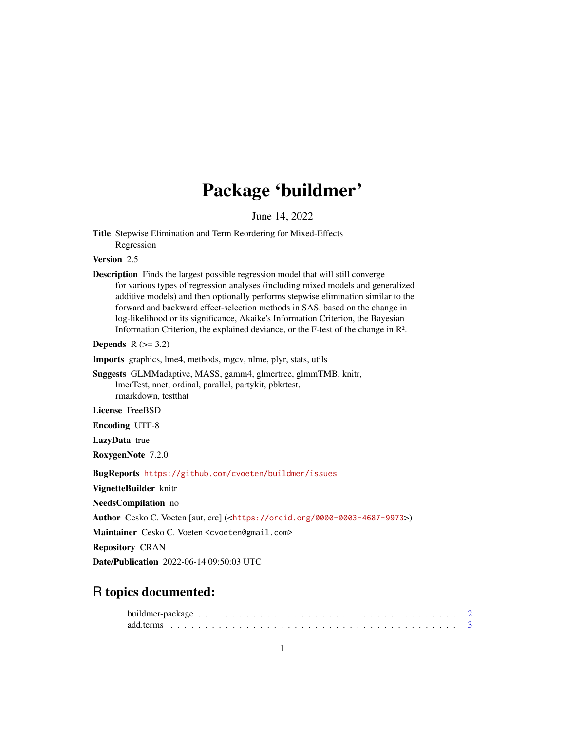# Package 'buildmer'

June 14, 2022

Title Stepwise Elimination and Term Reordering for Mixed-Effects Regression

Version 2.5

Description Finds the largest possible regression model that will still converge for various types of regression analyses (including mixed models and generalized additive models) and then optionally performs stepwise elimination similar to the forward and backward effect-selection methods in SAS, based on the change in log-likelihood or its significance, Akaike's Information Criterion, the Bayesian Information Criterion, the explained deviance, or the F-test of the change in R².

Depends  $R$  ( $>= 3.2$ )

Imports graphics, lme4, methods, mgcv, nlme, plyr, stats, utils

Suggests GLMMadaptive, MASS, gamm4, glmertree, glmmTMB, knitr, lmerTest, nnet, ordinal, parallel, partykit, pbkrtest, rmarkdown, testthat

License FreeBSD

Encoding UTF-8

LazyData true

RoxygenNote 7.2.0

BugReports <https://github.com/cvoeten/buildmer/issues>

VignetteBuilder knitr

NeedsCompilation no

Author Cesko C. Voeten [aut, cre] (<<https://orcid.org/0000-0003-4687-9973>>)

Maintainer Cesko C. Voeten <cvoeten@gmail.com>

Repository CRAN

Date/Publication 2022-06-14 09:50:03 UTC

# R topics documented: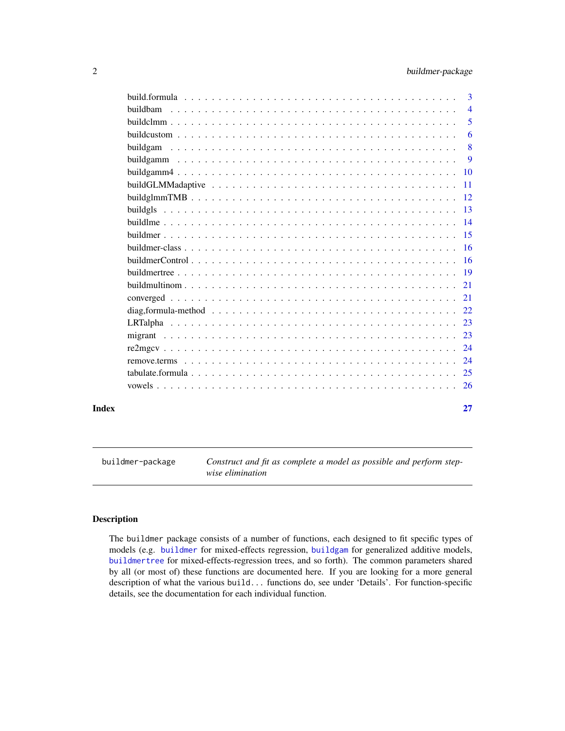<span id="page-1-0"></span>

|       |                                                                                                          | 3                         |
|-------|----------------------------------------------------------------------------------------------------------|---------------------------|
|       | <b>buildbam</b>                                                                                          | $\overline{4}$            |
|       |                                                                                                          | $\overline{5}$            |
|       |                                                                                                          | 6                         |
|       | buildgam                                                                                                 | $\overline{\phantom{0}}8$ |
|       |                                                                                                          | 9                         |
|       |                                                                                                          |                           |
|       | build GLMMadaptive $\ldots \ldots \ldots \ldots \ldots \ldots \ldots \ldots \ldots \ldots \ldots \ldots$ |                           |
|       |                                                                                                          |                           |
|       |                                                                                                          |                           |
|       |                                                                                                          |                           |
|       |                                                                                                          |                           |
|       |                                                                                                          |                           |
|       |                                                                                                          |                           |
|       |                                                                                                          |                           |
|       |                                                                                                          |                           |
|       |                                                                                                          |                           |
|       |                                                                                                          |                           |
|       |                                                                                                          |                           |
|       |                                                                                                          |                           |
|       |                                                                                                          |                           |
|       |                                                                                                          | 24                        |
|       |                                                                                                          |                           |
|       |                                                                                                          |                           |
| Index |                                                                                                          | 27                        |

<span id="page-1-1"></span>buildmer-package *Construct and fit as complete a model as possible and perform stepwise elimination*

# Description

The buildmer package consists of a number of functions, each designed to fit specific types of models (e.g. [buildmer](#page-14-1) for mixed-effects regression, [buildgam](#page-7-1) for generalized additive models, [buildmertree](#page-18-1) for mixed-effects-regression trees, and so forth). The common parameters shared by all (or most of) these functions are documented here. If you are looking for a more general description of what the various build... functions do, see under 'Details'. For function-specific details, see the documentation for each individual function.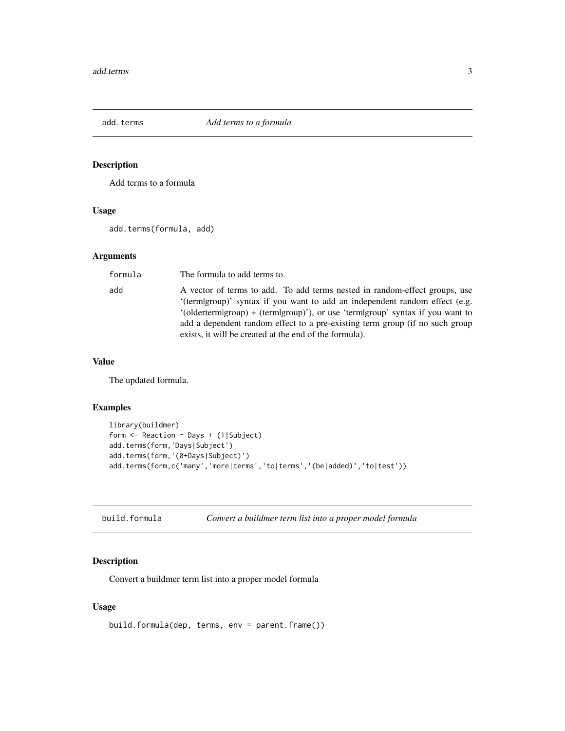<span id="page-2-0"></span>

# Description

Add terms to a formula

# Usage

add.terms(formula, add)

# Arguments

| formula | The formula to add terms to.                                                                                                                                                                                                                                                                                                                                                             |
|---------|------------------------------------------------------------------------------------------------------------------------------------------------------------------------------------------------------------------------------------------------------------------------------------------------------------------------------------------------------------------------------------------|
| add     | A vector of terms to add. To add terms nested in random-effect groups, use<br>'(termigroup)' syntax if you want to add an independent random effect (e.g.<br>$'$ (oldertermigroup) + (termigroup)'), or use 'termigroup' syntax if you want to<br>add a dependent random effect to a pre-existing term group (if no such group<br>exists, it will be created at the end of the formula). |

# Value

The updated formula.

# Examples

```
library(buildmer)
form <- Reaction ~ Days + (1|Subject)
add.terms(form,'Days|Subject')
add.terms(form,'(0+Days|Subject)')
add.terms(form,c('many','more|terms','to|terms','(be|added)','to|test'))
```

| build.formula | Convert a buildmer term list into a proper model formula |  |  |  |
|---------------|----------------------------------------------------------|--|--|--|
|---------------|----------------------------------------------------------|--|--|--|

# Description

Convert a buildmer term list into a proper model formula

#### Usage

```
build.formula(dep, terms, env = parent.frame())
```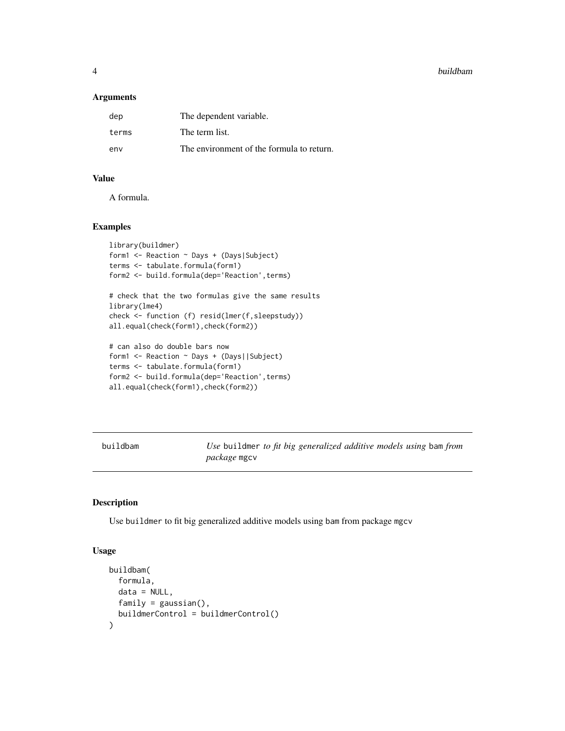<span id="page-3-0"></span>4 buildbam

# Arguments

| dep   | The dependent variable.                   |
|-------|-------------------------------------------|
| terms | The term list.                            |
| env   | The environment of the formula to return. |

# Value

A formula.

#### Examples

```
library(buildmer)
form1 <- Reaction ~ Days + (Days|Subject)
terms <- tabulate.formula(form1)
form2 <- build.formula(dep='Reaction',terms)
```

```
# check that the two formulas give the same results
library(lme4)
check <- function (f) resid(lmer(f,sleepstudy))
all.equal(check(form1),check(form2))
```

```
# can also do double bars now
form1 <- Reaction ~ Days + (Days||Subject)
terms <- tabulate.formula(form1)
form2 <- build.formula(dep='Reaction',terms)
all.equal(check(form1),check(form2))
```

| buildbam | Use buildmer to fit big generalized additive models using bam from |  |
|----------|--------------------------------------------------------------------|--|
|          | <i>package</i> mgcv                                                |  |

# Description

Use buildmer to fit big generalized additive models using bam from package mgcv

#### Usage

```
buildbam(
 formula,
 data = NULL,family = gaussian(),buildmerControl = buildmerControl()
)
```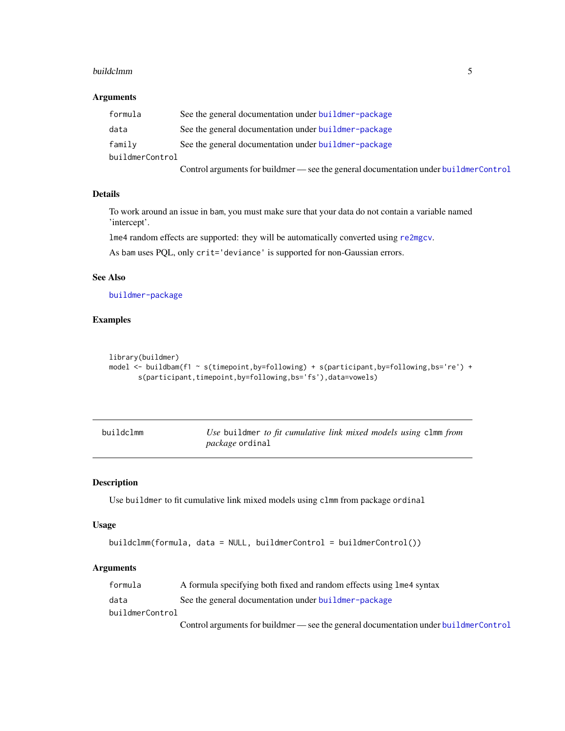#### <span id="page-4-0"></span>buildclmm 55 and 55 and 55 and 55 and 55 and 55 and 55 and 55 and 55 and 55 and 55 and 55 and 55 and 55 and 55

## Arguments

| formula         | See the general documentation under buildmer-package                                 |
|-----------------|--------------------------------------------------------------------------------------|
| data            | See the general documentation under buildmer-package                                 |
| family          | See the general documentation under buildmer-package                                 |
| buildmerControl |                                                                                      |
|                 | Control arguments for buildmer — see the general documentation under buildmerControl |

# Details

To work around an issue in bam, you must make sure that your data do not contain a variable named 'intercept'.

lme4 random effects are supported: they will be automatically converted using [re2mgcv](#page-23-1).

As bam uses PQL, only crit='deviance' is supported for non-Gaussian errors.

#### See Also

[buildmer-package](#page-1-1)

# Examples

```
library(buildmer)
model \le buildbam(f1 \sim s(timepoint,by=following) + s(participant,by=following,bs='re') +
       s(participant,timepoint,by=following,bs='fs'),data=vowels)
```

| buildclmm | Use buildmer to fit cumulative link mixed models using clmm from |  |  |
|-----------|------------------------------------------------------------------|--|--|
|           | <i>package</i> ordinal                                           |  |  |

### Description

Use buildmer to fit cumulative link mixed models using clmm from package ordinal

#### Usage

```
buildclmm(formula, data = NULL, buildmerControl = buildmerControl())
```
# Arguments

| formula         | A formula specifying both fixed and random effects using lme4 syntax                 |
|-----------------|--------------------------------------------------------------------------------------|
| data            | See the general documentation under buildmer-package                                 |
| buildmerControl |                                                                                      |
|                 | Control arguments for buildmer — see the general documentation under buildmerControl |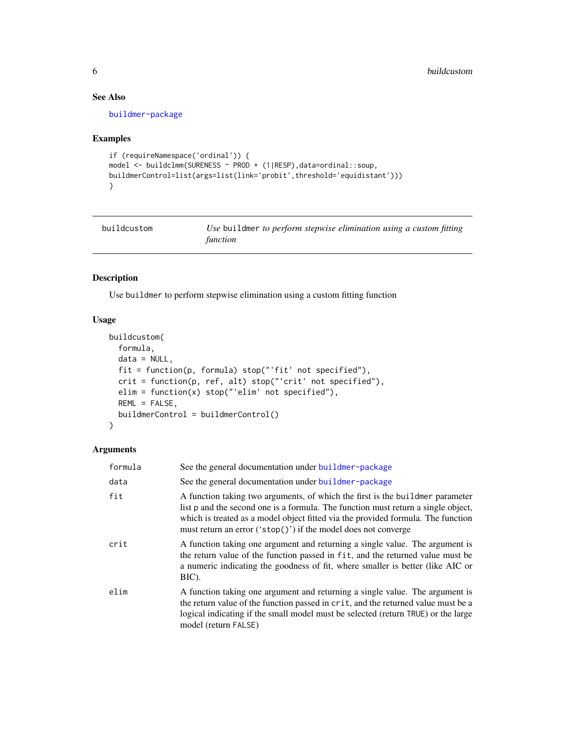# <span id="page-5-0"></span>See Also

[buildmer-package](#page-1-1)

# Examples

```
if (requireNamespace('ordinal')) {
model <- buildclmm(SURENESS ~ PROD + (1|RESP),data=ordinal::soup,
buildmerControl=list(args=list(link='probit',threshold='equidistant')))
}
```

| buildcustom | Use buildmer to perform stepwise elimination using a custom fitting |
|-------------|---------------------------------------------------------------------|
|             | function                                                            |

# Description

Use buildmer to perform stepwise elimination using a custom fitting function

# Usage

```
buildcustom(
 formula,
 data = NULL,
 fit = function(p, formula) stop("'fit' not specified"),
 crit = function(p, ref, alt) stop("'crit' not specified"),
 elim = function(x) stop("'elim' not specified"),
 REML = FALSE,buildmerControl = buildmerControl()
)
```
### Arguments

| formula | See the general documentation under buildmer-package                                                                                                                                                                                                                                                                      |
|---------|---------------------------------------------------------------------------------------------------------------------------------------------------------------------------------------------------------------------------------------------------------------------------------------------------------------------------|
| data    | See the general documentation under buildmer-package                                                                                                                                                                                                                                                                      |
| fit     | A function taking two arguments, of which the first is the buildmer parameter<br>list p and the second one is a formula. The function must return a single object,<br>which is treated as a model object fitted via the provided formula. The function<br>must return an error $("stop())$ if the model does not converge |
| crit    | A function taking one argument and returning a single value. The argument is<br>the return value of the function passed in fit, and the returned value must be<br>a numeric indicating the goodness of fit, where smaller is better (like AIC or<br>BIC).                                                                 |
| elim    | A function taking one argument and returning a single value. The argument is<br>the return value of the function passed in crit, and the returned value must be a<br>logical indicating if the small model must be selected (return TRUE) or the large<br>model (return FALSE)                                            |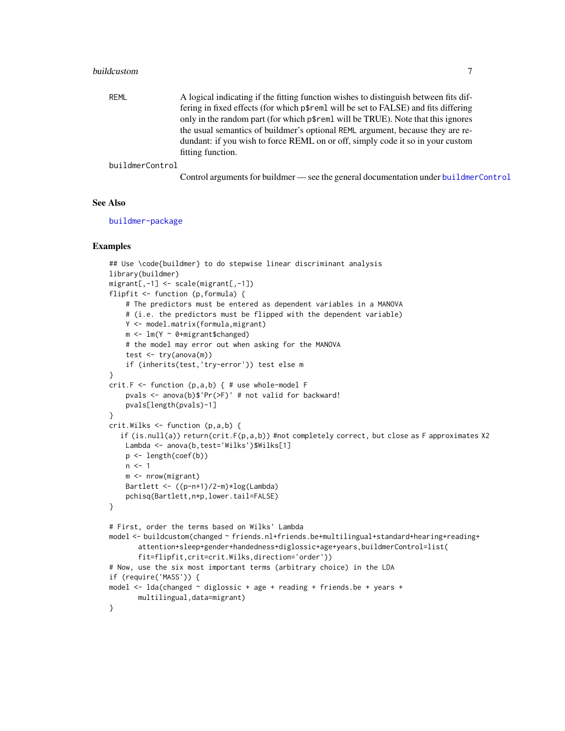#### <span id="page-6-0"></span>buildcustom **7**

REML A logical indicating if the fitting function wishes to distinguish between fits differing in fixed effects (for which p\$reml will be set to FALSE) and fits differing only in the random part (for which p\$reml will be TRUE). Note that this ignores the usual semantics of buildmer's optional REML argument, because they are redundant: if you wish to force REML on or off, simply code it so in your custom fitting function.

#### buildmerControl

Control arguments for buildmer — see the general documentation under [buildmerControl](#page-15-1)

# See Also

[buildmer-package](#page-1-1)

#### Examples

```
## Use \code{buildmer} to do stepwise linear discriminant analysis
library(buildmer)
migrant[,-1] <- scale(migrant[,-1])
flipfit <- function (p,formula) {
   # The predictors must be entered as dependent variables in a MANOVA
    # (i.e. the predictors must be flipped with the dependent variable)
   Y <- model.matrix(formula,migrant)
   m <- lm(Y ~ 0+migrant$changed)
    # the model may error out when asking for the MANOVA
    test <- try(anova(m))
    if (inherits(test,'try-error')) test else m
}
crit.F <- function (p,a,b) { # use whole-model F
    pvals <- anova(b)$'Pr(>F)' # not valid for backward!
   pvals[length(pvals)-1]
}
crit.Wilks <- function (p,a,b) {
  if (is.null(a)) return(crit.F(p,a,b)) #not completely correct, but close as F approximates X2
   Lambda <- anova(b,test='Wilks')$Wilks[1]
    p <- length(coef(b))
   n < -1m <- nrow(migrant)
   Bartlett <- ((p-n+1)/2-m)*log(Lambda)
    pchisq(Bartlett,n*p,lower.tail=FALSE)
}
# First, order the terms based on Wilks' Lambda
model <- buildcustom(changed ~ friends.nl+friends.be+multilingual+standard+hearing+reading+
      attention+sleep+gender+handedness+diglossic+age+years,buildmerControl=list(
      fit=flipfit,crit=crit.Wilks,direction='order'))
# Now, use the six most important terms (arbitrary choice) in the LDA
if (require('MASS')) {
model \le - lda(changed \sim diglossic + age + reading + friends.be + years +
      multilingual,data=migrant)
}
```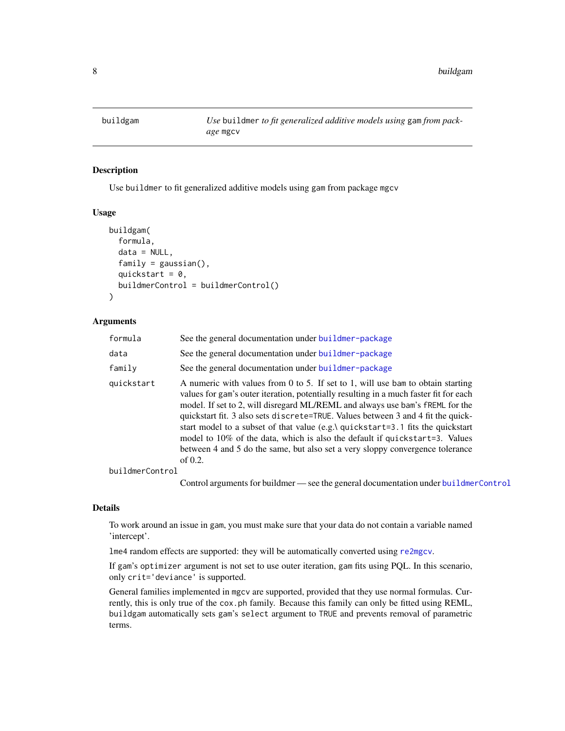<span id="page-7-1"></span><span id="page-7-0"></span>buildgam *Use* buildmer *to fit generalized additive models using* gam *from package* mgcv

#### Description

Use buildmer to fit generalized additive models using gam from package mgcv

# Usage

```
buildgam(
  formula,
  data = NULL,
  family = gaussian(),quickstart = 0,
  buildmerControl = buildmerControl()
\lambda
```
#### **Arguments**

| formula         | See the general documentation under buildmer-package                                                                                                                                                                                                                                                                                                                                                                                                                                                                                                                                                           |
|-----------------|----------------------------------------------------------------------------------------------------------------------------------------------------------------------------------------------------------------------------------------------------------------------------------------------------------------------------------------------------------------------------------------------------------------------------------------------------------------------------------------------------------------------------------------------------------------------------------------------------------------|
| data            | See the general documentation under buildmer-package                                                                                                                                                                                                                                                                                                                                                                                                                                                                                                                                                           |
| family          | See the general documentation under buildmer-package                                                                                                                                                                                                                                                                                                                                                                                                                                                                                                                                                           |
| quickstart      | A numeric with values from 0 to 5. If set to 1, will use bam to obtain starting<br>values for gam's outer iteration, potentially resulting in a much faster fit for each<br>model. If set to 2, will disregard ML/REML and always use bam's fREML for the<br>quickstart fit. 3 also sets discrete=TRUE. Values between 3 and 4 fit the quick-<br>start model to a subset of that value (e.g.) quickstart=3.1 fits the quickstart<br>model to 10% of the data, which is also the default if quickstart=3. Values<br>between 4 and 5 do the same, but also set a very sloppy convergence tolerance<br>of $0.2$ . |
| buildmerControl |                                                                                                                                                                                                                                                                                                                                                                                                                                                                                                                                                                                                                |
|                 | Control arguments for buildmer — see the general documentation under buildmerControl                                                                                                                                                                                                                                                                                                                                                                                                                                                                                                                           |

# Details

To work around an issue in gam, you must make sure that your data do not contain a variable named 'intercept'.

lme4 random effects are supported: they will be automatically converted using [re2mgcv](#page-23-1).

If gam's optimizer argument is not set to use outer iteration, gam fits using PQL. In this scenario, only crit='deviance' is supported.

General families implemented in mgcv are supported, provided that they use normal formulas. Currently, this is only true of the cox.ph family. Because this family can only be fitted using REML, buildgam automatically sets gam's select argument to TRUE and prevents removal of parametric terms.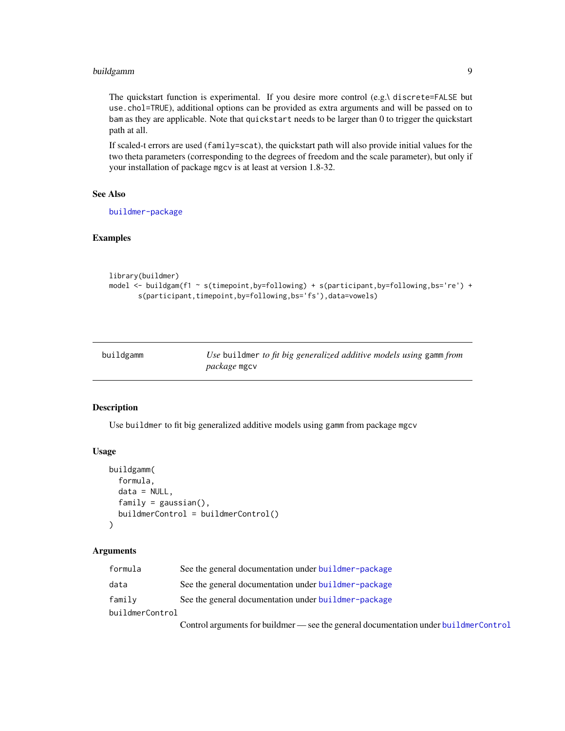# <span id="page-8-0"></span>buildgamm 9

The quickstart function is experimental. If you desire more control (e.g.\ discrete=FALSE but use.chol=TRUE), additional options can be provided as extra arguments and will be passed on to bam as they are applicable. Note that quickstart needs to be larger than 0 to trigger the quickstart path at all.

If scaled-t errors are used (family=scat), the quickstart path will also provide initial values for the two theta parameters (corresponding to the degrees of freedom and the scale parameter), but only if your installation of package mgcv is at least at version 1.8-32.

# See Also

[buildmer-package](#page-1-1)

#### Examples

```
library(buildmer)
model <- buildgam(f1 ~ s(timepoint,by=following) + s(participant,by=following,bs='re') +
       s(participant,timepoint,by=following,bs='fs'),data=vowels)
```

| buildgamm | Use buildmer to fit big generalized additive models using gamm from |
|-----------|---------------------------------------------------------------------|
|           | <i>package</i> mgcv                                                 |

#### Description

Use buildmer to fit big generalized additive models using gamm from package mgcv

# Usage

```
buildgamm(
  formula,
  data = NULL,
  family = gaussian(),
  buildmerControl = buildmerControl()
\lambda
```
### Arguments

| formula         | See the general documentation under buildmer-package                                                                |
|-----------------|---------------------------------------------------------------------------------------------------------------------|
| data            | See the general documentation under buildmer-package                                                                |
| family          | See the general documentation under buildmer-package                                                                |
| buildmerControl |                                                                                                                     |
|                 | بجميلهم والمساح فارتبا مماريس والمتمرد ويستحمل المستمر ويلمي والمتحدث والمسارا المتاروقي ومستحدث والمسترور المستحدة |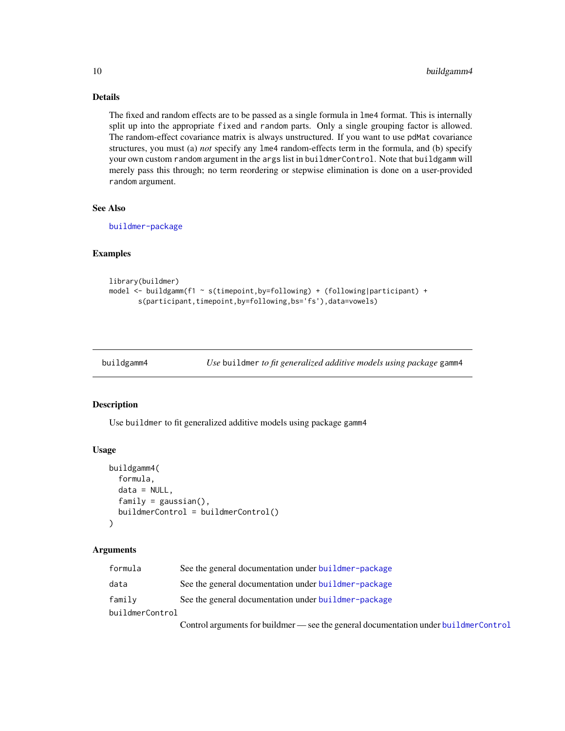# Details

The fixed and random effects are to be passed as a single formula in lme4 format. This is internally split up into the appropriate fixed and random parts. Only a single grouping factor is allowed. The random-effect covariance matrix is always unstructured. If you want to use pdMat covariance structures, you must (a) *not* specify any lme4 random-effects term in the formula, and (b) specify your own custom random argument in the args list in buildmerControl. Note that buildgamm will merely pass this through; no term reordering or stepwise elimination is done on a user-provided random argument.

#### See Also

[buildmer-package](#page-1-1)

#### Examples

```
library(buildmer)
model \le buildgamm(f1 \sim s(timepoint,by=following) + (following|participant) +
       s(participant,timepoint,by=following,bs='fs'),data=vowels)
```
buildgamm4 *Use* buildmer *to fit generalized additive models using package* gamm4

#### Description

Use buildmer to fit generalized additive models using package gamm4

#### Usage

```
buildgamm4(
  formula,
  data = NULL,
  family = gaussian(),
 buildmerControl = buildmerControl()
)
```
#### Arguments

| formula         | See the general documentation under buildmer-package |
|-----------------|------------------------------------------------------|
| data            | See the general documentation under buildmer-package |
| family          | See the general documentation under buildmer-package |
| buildmerControl |                                                      |
|                 |                                                      |

Control arguments for buildmer — see the general documentation under [buildmerControl](#page-15-1)

<span id="page-9-0"></span>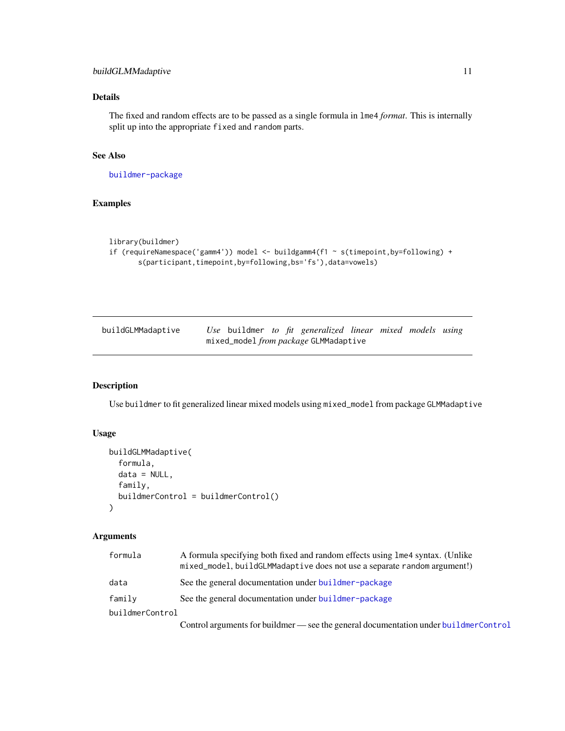# <span id="page-10-0"></span>Details

The fixed and random effects are to be passed as a single formula in lme4 *format*. This is internally split up into the appropriate fixed and random parts.

#### See Also

[buildmer-package](#page-1-1)

# Examples

```
library(buildmer)
if (requireNamespace('gamm4')) model <- buildgamm4(f1 ~ s(timepoint,by=following) +
       s(participant,timepoint,by=following,bs='fs'),data=vowels)
```

| buildGLMMadaptive |  |  | Use buildmer to fit generalized linear mixed models using |  |  |
|-------------------|--|--|-----------------------------------------------------------|--|--|
|                   |  |  | mixed_model from package GLMMadaptive                     |  |  |

# Description

Use buildmer to fit generalized linear mixed models using mixed\_model from package GLMMadaptive

# Usage

```
buildGLMMadaptive(
  formula,
  data = NULL,family,
  buildmerControl = buildmerControl()
\mathcal{E}
```
#### Arguments

| formula         | A formula specifying both fixed and random effects using lme4 syntax. (Unlike<br>mixed_model, buildGLMMadaptive does not use a separate random argument!) |
|-----------------|-----------------------------------------------------------------------------------------------------------------------------------------------------------|
| data            | See the general documentation under buildmer-package                                                                                                      |
| family          | See the general documentation under buildmer-package                                                                                                      |
| buildmerControl |                                                                                                                                                           |
|                 | Control arguments for buildmer — see the general documentation under buildmerControl                                                                      |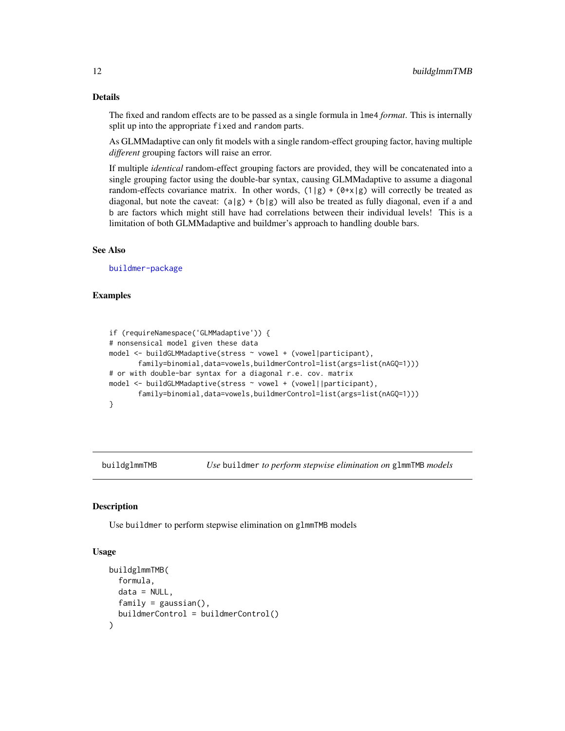# Details

The fixed and random effects are to be passed as a single formula in lme4 *format*. This is internally split up into the appropriate fixed and random parts.

As GLMMadaptive can only fit models with a single random-effect grouping factor, having multiple *different* grouping factors will raise an error.

If multiple *identical* random-effect grouping factors are provided, they will be concatenated into a single grouping factor using the double-bar syntax, causing GLMMadaptive to assume a diagonal random-effects covariance matrix. In other words,  $(1|g) + (\theta \star x |g)$  will correctly be treated as diagonal, but note the caveat:  $(a|g) + (b|g)$  will also be treated as fully diagonal, even if a and b are factors which might still have had correlations between their individual levels! This is a limitation of both GLMMadaptive and buildmer's approach to handling double bars.

#### See Also

[buildmer-package](#page-1-1)

#### Examples

```
if (requireNamespace('GLMMadaptive')) {
# nonsensical model given these data
model <- buildGLMMadaptive(stress ~ vowel + (vowel|participant),
      family=binomial,data=vowels,buildmerControl=list(args=list(nAGQ=1)))
# or with double-bar syntax for a diagonal r.e. cov. matrix
model <- buildGLMMadaptive(stress ~ vowel + (vowel||participant),
       family=binomial,data=vowels,buildmerControl=list(args=list(nAGQ=1)))
}
```
buildglmmTMB *Use* buildmer *to perform stepwise elimination on* glmmTMB *models*

#### Description

Use buildmer to perform stepwise elimination on glmmTMB models

#### Usage

```
buildglmmTMB(
  formula,
  data = NULL,family = gaussian(),
  buildmerControl = buildmerControl()
)
```
<span id="page-11-0"></span>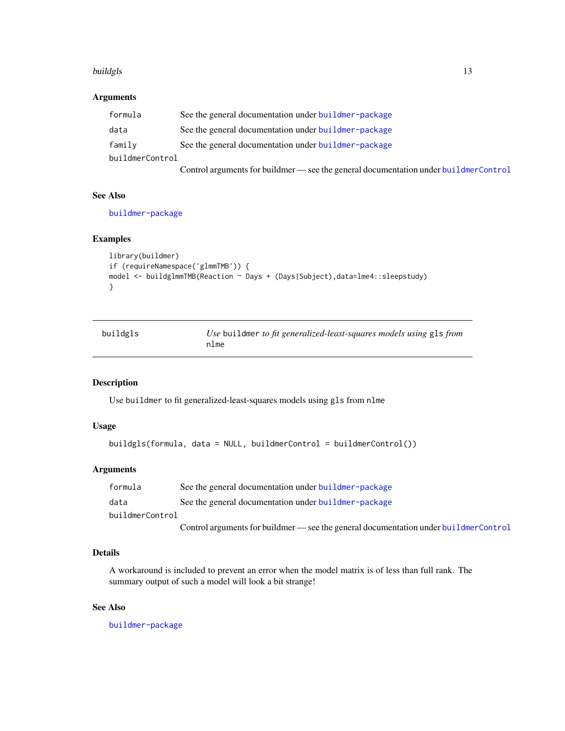#### <span id="page-12-0"></span>buildgls the contract of the contract of the contract of the contract of the contract of the contract of the contract of the contract of the contract of the contract of the contract of the contract of the contract of the c

# Arguments

| formula         | See the general documentation under buildmer-package                                 |
|-----------------|--------------------------------------------------------------------------------------|
| data            | See the general documentation under buildmer-package                                 |
| family          | See the general documentation under buildmer-package                                 |
| buildmerControl |                                                                                      |
|                 | Control arguments for buildmer — see the general documentation under buildmerControl |

See Also

[buildmer-package](#page-1-1)

# Examples

```
library(buildmer)
if (requireNamespace('glmmTMB')) {
model <- buildglmmTMB(Reaction ~ Days + (Days|Subject),data=lme4::sleepstudy)
}
```

| buildgls | Use buildmer to fit generalized-least-squares models using gls from |
|----------|---------------------------------------------------------------------|
|          | nlme                                                                |

## Description

Use buildmer to fit generalized-least-squares models using gls from nlme

#### Usage

```
buildgls(formula, data = NULL, buildmerControl = buildmerControl())
```
# Arguments

| formula         | See the general documentation under buildmer-package                                 |
|-----------------|--------------------------------------------------------------------------------------|
| data            | See the general documentation under buildmer-package                                 |
| buildmerControl |                                                                                      |
|                 | Control arguments for buildmer — see the general documentation under buildmerControl |

# Details

A workaround is included to prevent an error when the model matrix is of less than full rank. The summary output of such a model will look a bit strange!

# See Also

[buildmer-package](#page-1-1)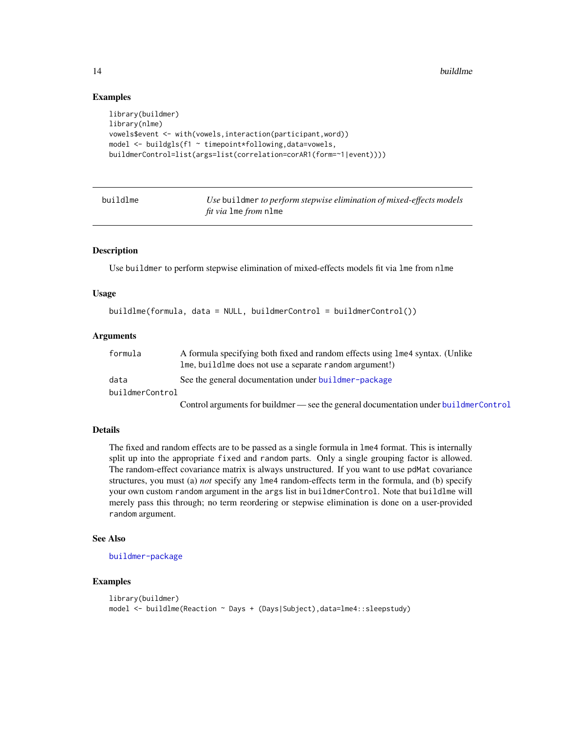#### Examples

```
library(buildmer)
library(nlme)
vowels$event <- with(vowels,interaction(participant,word))
model <- buildgls(f1 ~ timepoint*following,data=vowels,
buildmerControl=list(args=list(correlation=corAR1(form=~1|event))))
```

| buildlme | Use buildmer to perform stepwise elimination of mixed-effects models |
|----------|----------------------------------------------------------------------|
|          | <i>fit via</i> 1me <i>from</i> n1me                                  |

#### Description

Use buildmer to perform stepwise elimination of mixed-effects models fit via lme from nlme

#### Usage

```
buildlme(formula, data = NULL, buildmerControl = buildmerControl())
```
#### **Arguments**

| formula         | A formula specifying both fixed and random effects using lme4 syntax. (Unlike |  |  |  |  |
|-----------------|-------------------------------------------------------------------------------|--|--|--|--|
|                 | Ime, build lme does not use a separate random argument!)                      |  |  |  |  |
| data            | See the general documentation under buildmer-package                          |  |  |  |  |
| buildmerControl |                                                                               |  |  |  |  |
|                 |                                                                               |  |  |  |  |

Control arguments for buildmer — see the general documentation under [buildmerControl](#page-15-1)

# **Details**

The fixed and random effects are to be passed as a single formula in lme4 format. This is internally split up into the appropriate fixed and random parts. Only a single grouping factor is allowed. The random-effect covariance matrix is always unstructured. If you want to use pdMat covariance structures, you must (a) *not* specify any lme4 random-effects term in the formula, and (b) specify your own custom random argument in the args list in buildmerControl. Note that buildlme will merely pass this through; no term reordering or stepwise elimination is done on a user-provided random argument.

#### See Also

[buildmer-package](#page-1-1)

#### Examples

```
library(buildmer)
model <- buildlme(Reaction ~ Days + (Days|Subject),data=lme4::sleepstudy)
```
<span id="page-13-0"></span>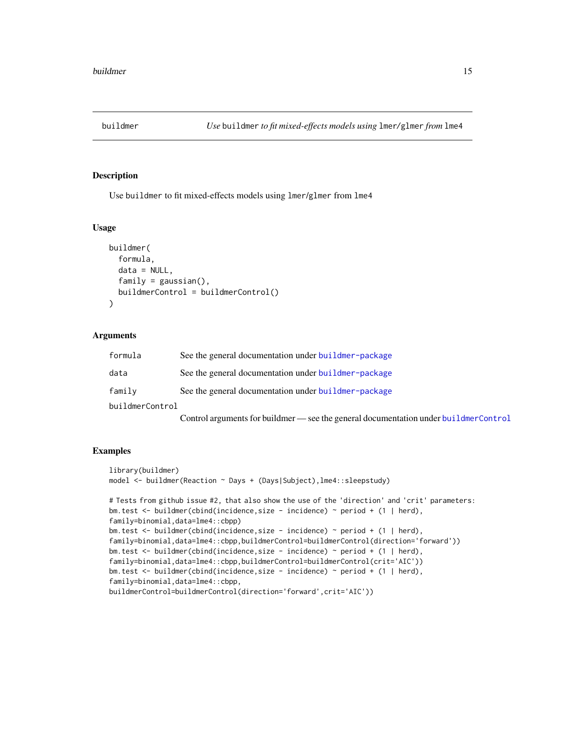<span id="page-14-1"></span><span id="page-14-0"></span>

#### Description

Use buildmer to fit mixed-effects models using lmer/glmer from lme4

#### Usage

```
buildmer(
  formula,
  data = NULL,
  family = gaussian(),
  buildmerControl = buildmerControl()
\lambda
```
## Arguments

| formula         | See the general documentation under buildmer-package |
|-----------------|------------------------------------------------------|
| data            | See the general documentation under buildmer-package |
| family          | See the general documentation under buildmer-package |
| buildmerControl |                                                      |

Control arguments for buildmer — see the general documentation under [buildmerControl](#page-15-1)

## Examples

```
library(buildmer)
model <- buildmer(Reaction ~ Days + (Days|Subject),lme4::sleepstudy)
# Tests from github issue #2, that also show the use of the 'direction' and 'crit' parameters:
bm.test <- buildmer(cbind(incidence,size - incidence) ~ period + (1 | herd),
family=binomial,data=lme4::cbpp)
bm.test <- buildmer(cbind(incidence,size - incidence) ~ period + (1 | herd),
family=binomial,data=lme4::cbpp,buildmerControl=buildmerControl(direction='forward'))
bm.test <- buildmer(cbind(incidence,size - incidence) ~ period + (1 | herd),
family=binomial,data=lme4::cbpp,buildmerControl=buildmerControl(crit='AIC'))
bm.test <- buildmer(cbind(incidence,size - incidence) ~ period + (1 | herd),
family=binomial,data=lme4::cbpp,
buildmerControl=buildmerControl(direction='forward',crit='AIC'))
```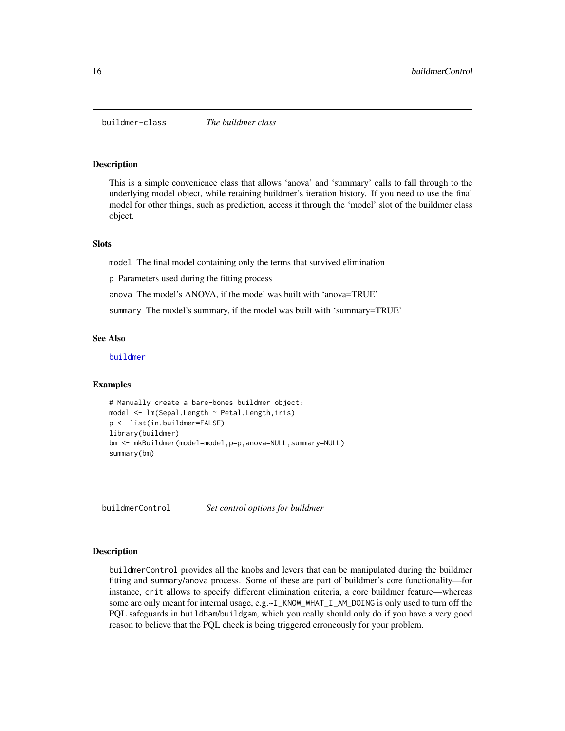<span id="page-15-0"></span>buildmer-class *The buildmer class*

#### Description

This is a simple convenience class that allows 'anova' and 'summary' calls to fall through to the underlying model object, while retaining buildmer's iteration history. If you need to use the final model for other things, such as prediction, access it through the 'model' slot of the buildmer class object.

#### **Slots**

model The final model containing only the terms that survived elimination

p Parameters used during the fitting process

anova The model's ANOVA, if the model was built with 'anova=TRUE'

summary The model's summary, if the model was built with 'summary=TRUE'

#### See Also

[buildmer](#page-14-1)

#### Examples

```
# Manually create a bare-bones buildmer object:
model <- lm(Sepal.Length ~ Petal.Length,iris)
p <- list(in.buildmer=FALSE)
library(buildmer)
bm <- mkBuildmer(model=model,p=p,anova=NULL,summary=NULL)
summary(bm)
```
<span id="page-15-1"></span>buildmerControl *Set control options for buildmer*

#### Description

buildmerControl provides all the knobs and levers that can be manipulated during the buildmer fitting and summary/anova process. Some of these are part of buildmer's core functionality—for instance, crit allows to specify different elimination criteria, a core buildmer feature—whereas some are only meant for internal usage, e.g.~I\_KNOW\_WHAT\_I\_AM\_DOING is only used to turn off the PQL safeguards in buildbam/buildgam, which you really should only do if you have a very good reason to believe that the PQL check is being triggered erroneously for your problem.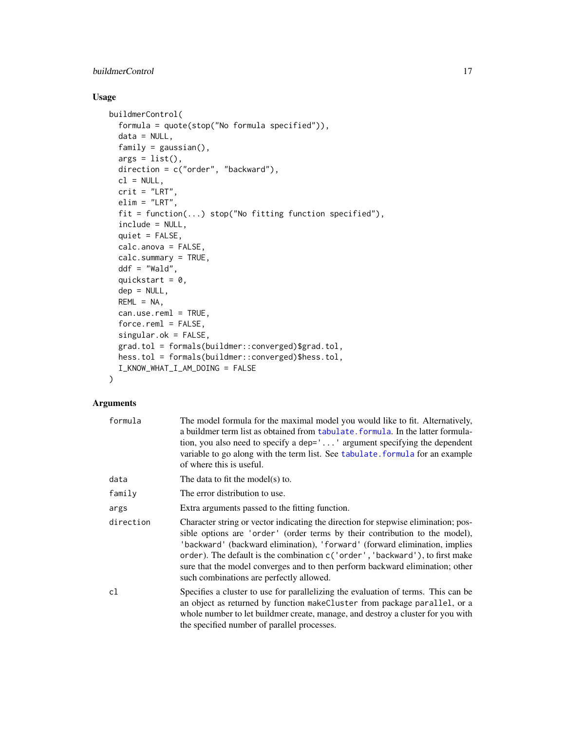# <span id="page-16-0"></span>buildmerControl 17

# Usage

```
buildmerControl(
  formula = quote(stop("No formula specified")),
 data = NULL,family = gaussian(),
 args = list(),
 direction = c("order", "backward"),
 cl = NULL,crit = "LRT",elim = "LRT",
 fit = function(...) stop("No fitting function specified"),
 include = NULL,
 quiet = FALSE,calc.anova = FALSE,
 calc.summary = TRUE,
 ddf = "Wald",
 quickstart = 0,
 dep = NULL,
 REML = NA,
 can.use.reml = TRUE,
 force.reml = FALSE,
 singular.ok = FALSE,
 grad.tol = formals(buildmer::converged)$grad.tol,
 hess.tol = formals(buildmer::converged)$hess.tol,
 I_KNOW_WHAT_I_AM_DOING = FALSE
```
#### Arguments

)

| formula   | The model formula for the maximal model you would like to fit. Alternatively,<br>a buildmer term list as obtained from tabulate. formula. In the latter formula-<br>tion, you also need to specify a dep='' argument specifying the dependent<br>variable to go along with the term list. See tabulate, formula for an example<br>of where this is useful.                                                                                                   |
|-----------|--------------------------------------------------------------------------------------------------------------------------------------------------------------------------------------------------------------------------------------------------------------------------------------------------------------------------------------------------------------------------------------------------------------------------------------------------------------|
| data      | The data to fit the model(s) to.                                                                                                                                                                                                                                                                                                                                                                                                                             |
| family    | The error distribution to use.                                                                                                                                                                                                                                                                                                                                                                                                                               |
| args      | Extra arguments passed to the fitting function.                                                                                                                                                                                                                                                                                                                                                                                                              |
| direction | Character string or vector indicating the direction for stepwise elimination; pos-<br>sible options are 'order' (order terms by their contribution to the model),<br>'backward' (backward elimination), 'forward' (forward elimination, implies<br>order). The default is the combination c('order', 'backward'), to first make<br>sure that the model converges and to then perform backward elimination; other<br>such combinations are perfectly allowed. |
| c1        | Specifies a cluster to use for parallelizing the evaluation of terms. This can be<br>an object as returned by function makeCluster from package parallel, or a<br>whole number to let buildmer create, manage, and destroy a cluster for you with<br>the specified number of parallel processes.                                                                                                                                                             |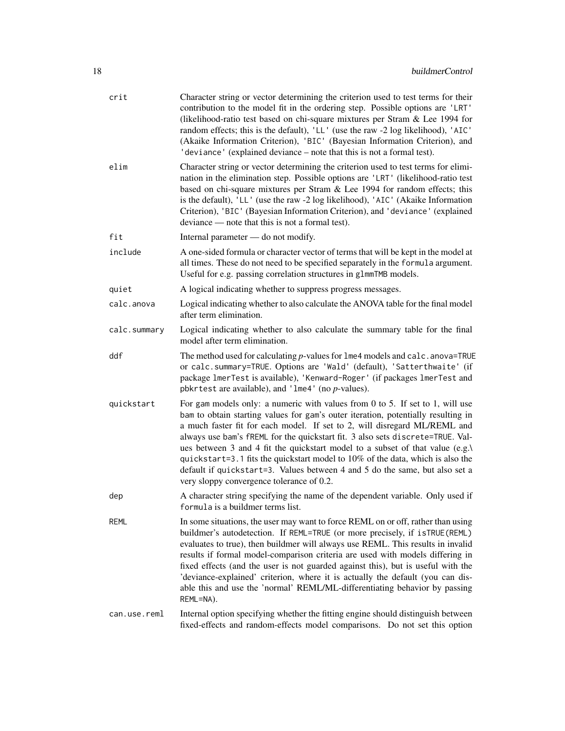| crit         | Character string or vector determining the criterion used to test terms for their<br>contribution to the model fit in the ordering step. Possible options are 'LRT'<br>(likelihood-ratio test based on chi-square mixtures per Stram & Lee 1994 for<br>random effects; this is the default), 'LL' (use the raw -2 log likelihood), 'AIC'<br>(Akaike Information Criterion), 'BIC' (Bayesian Information Criterion), and<br>'deviance' (explained deviance – note that this is not a formal test).                                                                                                                                     |
|--------------|---------------------------------------------------------------------------------------------------------------------------------------------------------------------------------------------------------------------------------------------------------------------------------------------------------------------------------------------------------------------------------------------------------------------------------------------------------------------------------------------------------------------------------------------------------------------------------------------------------------------------------------|
| elim         | Character string or vector determining the criterion used to test terms for elimi-<br>nation in the elimination step. Possible options are 'LRT' (likelihood-ratio test<br>based on chi-square mixtures per Stram & Lee 1994 for random effects; this<br>is the default), 'LL' (use the raw -2 log likelihood), 'AIC' (Akaike Information<br>Criterion), 'BIC' (Bayesian Information Criterion), and 'deviance' (explained<br>deviance — note that this is not a formal test).                                                                                                                                                        |
| fit          | Internal parameter — do not modify.                                                                                                                                                                                                                                                                                                                                                                                                                                                                                                                                                                                                   |
| include      | A one-sided formula or character vector of terms that will be kept in the model at<br>all times. These do not need to be specified separately in the formula argument.<br>Useful for e.g. passing correlation structures in g1mmTMB models.                                                                                                                                                                                                                                                                                                                                                                                           |
| quiet        | A logical indicating whether to suppress progress messages.                                                                                                                                                                                                                                                                                                                                                                                                                                                                                                                                                                           |
| calc.anova   | Logical indicating whether to also calculate the ANOVA table for the final model<br>after term elimination.                                                                                                                                                                                                                                                                                                                                                                                                                                                                                                                           |
| calc.summary | Logical indicating whether to also calculate the summary table for the final<br>model after term elimination.                                                                                                                                                                                                                                                                                                                                                                                                                                                                                                                         |
| ddf          | The method used for calculating $p$ -values for $l$ me4 models and calc. anova=TRUE<br>or calc.summary=TRUE. Options are 'Wald' (default), 'Satterthwaite' (if<br>package lmerTest is available), 'Kenward-Roger' (if packages lmerTest and<br>pbkrtest are available), and ' $l$ me4' (no <i>p</i> -values).                                                                                                                                                                                                                                                                                                                         |
| quickstart   | For gam models only: a numeric with values from $0$ to $5$ . If set to 1, will use<br>bam to obtain starting values for gam's outer iteration, potentially resulting in<br>a much faster fit for each model. If set to 2, will disregard ML/REML and<br>always use bam's fREML for the quickstart fit. 3 also sets discrete=TRUE. Val-<br>ues between 3 and 4 fit the quickstart model to a subset of that value (e.g.)<br>quickstart=3.1 fits the quickstart model to 10% of the data, which is also the<br>default if quickstart=3. Values between 4 and 5 do the same, but also set a<br>very sloppy convergence tolerance of 0.2. |
| dep          | A character string specifying the name of the dependent variable. Only used if<br>formula is a buildmer terms list.                                                                                                                                                                                                                                                                                                                                                                                                                                                                                                                   |
| REML         | In some situations, the user may want to force REML on or off, rather than using<br>buildmer's autodetection. If REML=TRUE (or more precisely, if is TRUE (REML)<br>evaluates to true), then buildmer will always use REML. This results in invalid<br>results if formal model-comparison criteria are used with models differing in<br>fixed effects (and the user is not guarded against this), but is useful with the<br>'deviance-explained' criterion, where it is actually the default (you can dis-<br>able this and use the 'normal' REML/ML-differentiating behavior by passing<br>REML=NA).                                 |
| can.use.reml | Internal option specifying whether the fitting engine should distinguish between<br>fixed-effects and random-effects model comparisons. Do not set this option                                                                                                                                                                                                                                                                                                                                                                                                                                                                        |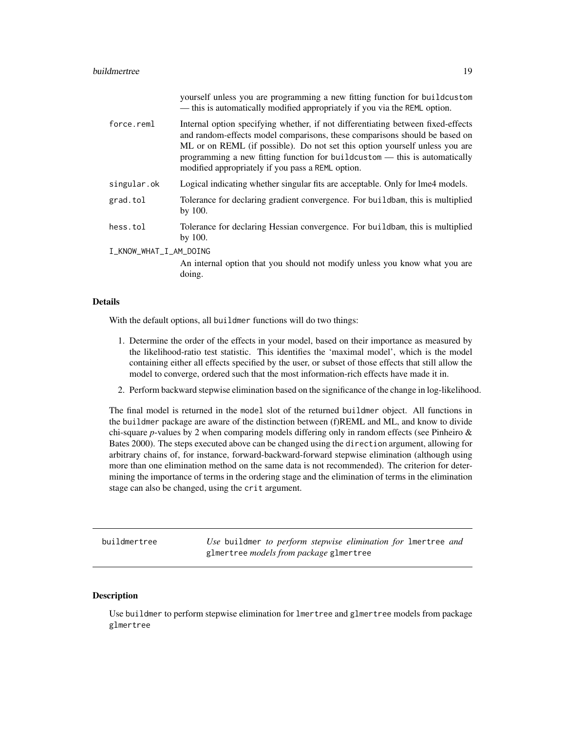#### <span id="page-18-0"></span>buildmertree that the second service of the service of the service of the service of the service of the service of the service of the service of the service of the service of the service of the service of the service of th

|                        | yourself unless you are programming a new fitting function for buildcustom<br>- this is automatically modified appropriately if you via the REML option.                                                                                                                                                                                                                         |
|------------------------|----------------------------------------------------------------------------------------------------------------------------------------------------------------------------------------------------------------------------------------------------------------------------------------------------------------------------------------------------------------------------------|
| force.reml             | Internal option specifying whether, if not differentiating between fixed-effects<br>and random-effects model comparisons, these comparisons should be based on<br>ML or on REML (if possible). Do not set this option yourself unless you are<br>programming a new fitting function for buildcustom — this is automatically<br>modified appropriately if you pass a REML option. |
| singular.ok            | Logical indicating whether singular fits are acceptable. Only for lme4 models.                                                                                                                                                                                                                                                                                                   |
| grad.tol               | Tolerance for declaring gradient convergence. For buildbam, this is multiplied<br>by 100.                                                                                                                                                                                                                                                                                        |
| hess.tol               | Tolerance for declaring Hessian convergence. For buildbam, this is multiplied<br>by $100.$                                                                                                                                                                                                                                                                                       |
| I_KNOW_WHAT_I_AM_DOING |                                                                                                                                                                                                                                                                                                                                                                                  |
|                        | An internal option that you should not modify unless you know what you are<br>doing.                                                                                                                                                                                                                                                                                             |

#### Details

With the default options, all buildmer functions will do two things:

- 1. Determine the order of the effects in your model, based on their importance as measured by the likelihood-ratio test statistic. This identifies the 'maximal model', which is the model containing either all effects specified by the user, or subset of those effects that still allow the model to converge, ordered such that the most information-rich effects have made it in.
- 2. Perform backward stepwise elimination based on the significance of the change in log-likelihood.

The final model is returned in the model slot of the returned buildmer object. All functions in the buildmer package are aware of the distinction between (f)REML and ML, and know to divide chi-square *p*-values by 2 when comparing models differing only in random effects (see Pinheiro & Bates 2000). The steps executed above can be changed using the direction argument, allowing for arbitrary chains of, for instance, forward-backward-forward stepwise elimination (although using more than one elimination method on the same data is not recommended). The criterion for determining the importance of terms in the ordering stage and the elimination of terms in the elimination stage can also be changed, using the crit argument.

<span id="page-18-1"></span>buildmertree *Use* buildmer *to perform stepwise elimination for* lmertree *and* glmertree *models from package* glmertree

#### Description

Use buildmer to perform stepwise elimination for lmertree and glmertree models from package glmertree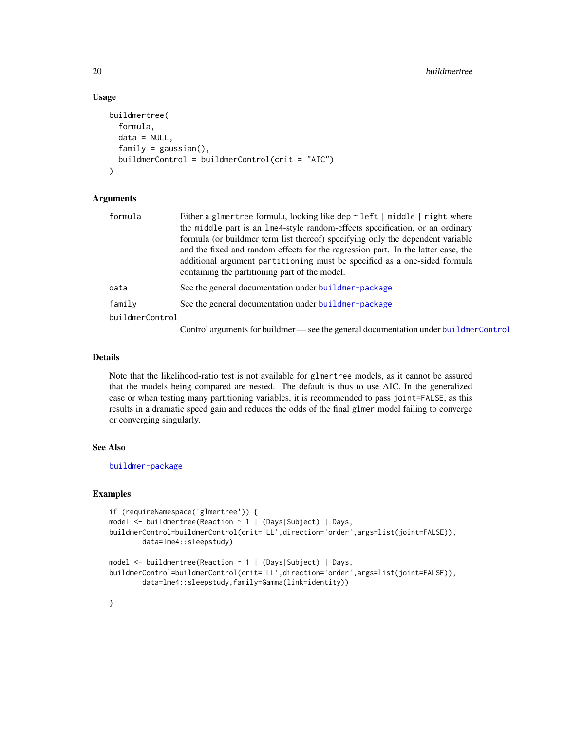# Usage

```
buildmertree(
  formula,
  data = NULL,
  family = gaussian(),
  buildmerControl = buildmerControl(crit = "AIC")
)
```
# Arguments

| formula         | Either a glmertree formula, looking like dep $\sim$ left   middle   right where      |
|-----------------|--------------------------------------------------------------------------------------|
|                 | the middle part is an lme4-style random-effects specification, or an ordinary        |
|                 | formula (or buildmer term list thereof) specifying only the dependent variable       |
|                 | and the fixed and random effects for the regression part. In the latter case, the    |
|                 | additional argument partitioning must be specified as a one-sided formula            |
|                 | containing the partitioning part of the model.                                       |
| data            | See the general documentation under buildmer-package                                 |
| family          | See the general documentation under buildmer-package                                 |
| buildmerControl |                                                                                      |
|                 | Control arguments for buildmer — see the general documentation under buildmerControl |

#### Details

Note that the likelihood-ratio test is not available for glmertree models, as it cannot be assured that the models being compared are nested. The default is thus to use AIC. In the generalized case or when testing many partitioning variables, it is recommended to pass joint=FALSE, as this results in a dramatic speed gain and reduces the odds of the final glmer model failing to converge or converging singularly.

# See Also

[buildmer-package](#page-1-1)

#### **Examples**

```
if (requireNamespace('glmertree')) {
model <- buildmertree(Reaction ~ 1 | (Days|Subject) | Days,
buildmerControl=buildmerControl(crit='LL',direction='order',args=list(joint=FALSE)),
       data=lme4::sleepstudy)
model <- buildmertree(Reaction ~ 1 | (Days|Subject) | Days,
buildmerControl=buildmerControl(crit='LL',direction='order',args=list(joint=FALSE)),
       data=lme4::sleepstudy,family=Gamma(link=identity))
```
# }

<span id="page-19-0"></span>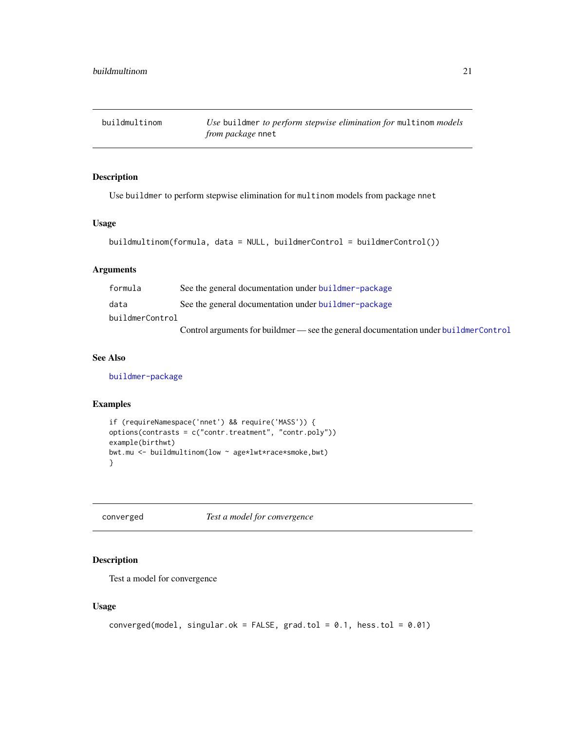<span id="page-20-0"></span>buildmultinom *Use* buildmer *to perform stepwise elimination for* multinom *models from package* nnet

# Description

Use buildmer to perform stepwise elimination for multinom models from package nnet

# Usage

```
buildmultinom(formula, data = NULL, buildmerControl = buildmerControl())
```
# Arguments

| formula         | See the general documentation under buildmer-package                                 |
|-----------------|--------------------------------------------------------------------------------------|
| data            | See the general documentation under buildmer-package                                 |
| buildmerControl |                                                                                      |
|                 | Control arguments for buildmer — see the general documentation under buildmerControl |

# See Also

[buildmer-package](#page-1-1)

#### Examples

```
if (requireNamespace('nnet') && require('MASS')) {
options(contrasts = c("contr.treatment", "contr.poly"))
example(birthwt)
bwt.mu <- buildmultinom(low ~ age*lwt*race*smoke,bwt)
}
```
converged *Test a model for convergence*

#### Description

Test a model for convergence

# Usage

```
converged(model, singular.ok = FALSE, grad.tol = 0.1, hess.tol = 0.01)
```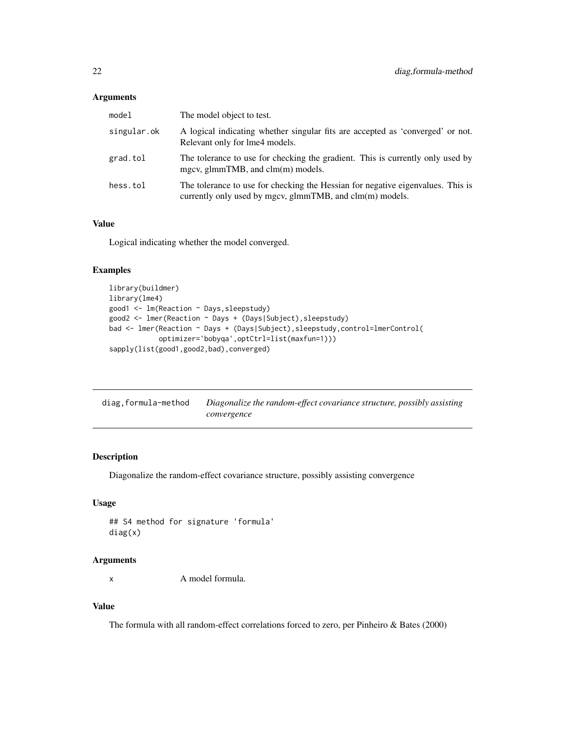## <span id="page-21-0"></span>Arguments

| model       | The model object to test.                                                                                                                         |
|-------------|---------------------------------------------------------------------------------------------------------------------------------------------------|
| singular.ok | A logical indicating whether singular fits are accepted as 'converged' or not.<br>Relevant only for lme4 models.                                  |
| grad.tol    | The tolerance to use for checking the gradient. This is currently only used by<br>mgcv, glmmTMB, and clm(m) models.                               |
| hess.tol    | The tolerance to use for checking the Hessian for negative eigenvalues. This is<br>currently only used by mgcv, glmm $TMB$ , and $clm(m)$ models. |

# Value

Logical indicating whether the model converged.

# Examples

```
library(buildmer)
library(lme4)
good1 <- lm(Reaction ~ Days,sleepstudy)
good2 <- lmer(Reaction ~ Days + (Days|Subject),sleepstudy)
bad <- lmer(Reaction ~ Days + (Days|Subject),sleepstudy,control=lmerControl(
            optimizer='bobyqa',optCtrl=list(maxfun=1)))
sapply(list(good1,good2,bad),converged)
```

| diag,formula-method | Diagonalize the random-effect covariance structure, possibly assisting |
|---------------------|------------------------------------------------------------------------|
|                     | convergence                                                            |

# Description

Diagonalize the random-effect covariance structure, possibly assisting convergence

# Usage

```
## S4 method for signature 'formula'
diag(x)
```
#### Arguments

x A model formula.

# Value

The formula with all random-effect correlations forced to zero, per Pinheiro & Bates (2000)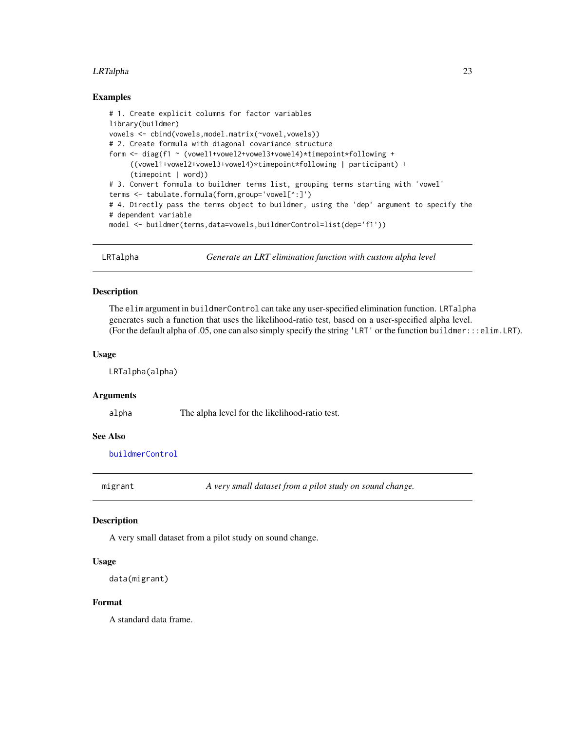#### <span id="page-22-0"></span>LRTalpha 23

#### Examples

```
# 1. Create explicit columns for factor variables
library(buildmer)
vowels <- cbind(vowels,model.matrix(~vowel,vowels))
# 2. Create formula with diagonal covariance structure
form <- diag(f1 ~ (vowel1+vowel2+vowel3+vowel4)*timepoint*following +
     ((vowel1+vowel2+vowel3+vowel4)*timepoint*following | participant) +
     (timepoint | word))
# 3. Convert formula to buildmer terms list, grouping terms starting with 'vowel'
terms <- tabulate.formula(form,group='vowel[^:]')
# 4. Directly pass the terms object to buildmer, using the 'dep' argument to specify the
# dependent variable
model <- buildmer(terms,data=vowels,buildmerControl=list(dep='f1'))
```
LRTalpha *Generate an LRT elimination function with custom alpha level*

#### Description

The elim argument in buildmerControl can take any user-specified elimination function. LRTalpha generates such a function that uses the likelihood-ratio test, based on a user-specified alpha level. (For the default alpha of .05, one can also simply specify the string 'LRT' or the function buildmer:::elim.LRT).

#### Usage

LRTalpha(alpha)

#### Arguments

alpha The alpha level for the likelihood-ratio test.

# See Also

[buildmerControl](#page-15-1)

migrant *A very small dataset from a pilot study on sound change.*

#### **Description**

A very small dataset from a pilot study on sound change.

#### Usage

```
data(migrant)
```
#### Format

A standard data frame.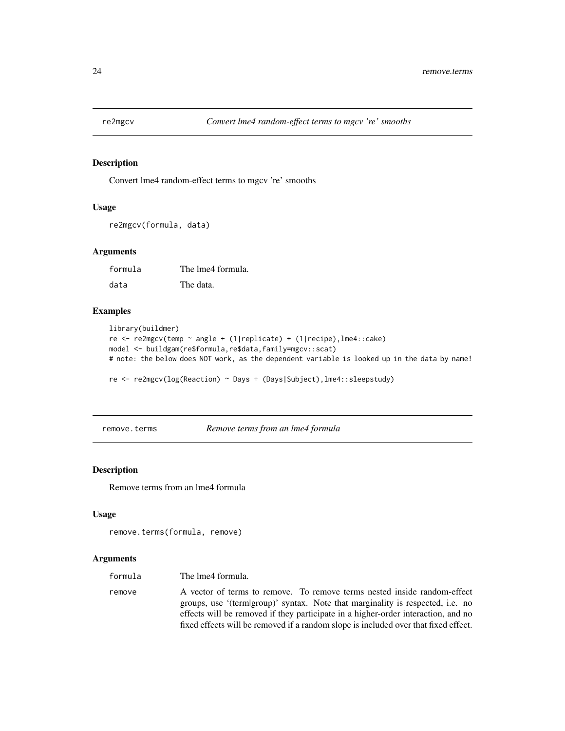<span id="page-23-1"></span><span id="page-23-0"></span>

# Description

Convert lme4 random-effect terms to mgcv 're' smooths

#### Usage

```
re2mgcv(formula, data)
```
# Arguments

formula The lme4 formula. data The data.

#### Examples

```
library(buildmer)
re <- re2mgcv(temp ~ angle + (1|replicate) + (1|recipe),lme4::cake)
model <- buildgam(re$formula,re$data,family=mgcv::scat)
# note: the below does NOT work, as the dependent variable is looked up in the data by name!
re <- re2mgcv(log(Reaction) ~ Days + (Days|Subject),lme4::sleepstudy)
```
remove.terms *Remove terms from an lme4 formula*

#### Description

Remove terms from an lme4 formula

# Usage

```
remove.terms(formula, remove)
```
# Arguments

| formula | The lme4 formula.                                                                                                                                                                                                                                                                                                                      |
|---------|----------------------------------------------------------------------------------------------------------------------------------------------------------------------------------------------------------------------------------------------------------------------------------------------------------------------------------------|
| remove  | A vector of terms to remove. To remove terms nested inside random-effect<br>groups, use '(term group)' syntax. Note that marginality is respected, i.e. no<br>effects will be removed if they participate in a higher-order interaction, and no<br>fixed effects will be removed if a random slope is included over that fixed effect. |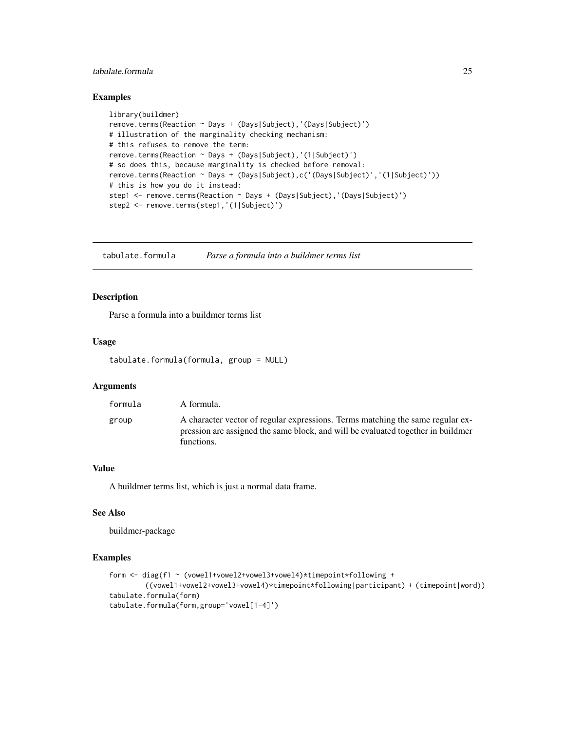# <span id="page-24-0"></span>tabulate.formula 25

# Examples

```
library(buildmer)
remove.terms(Reaction ~ Days + (Days|Subject),'(Days|Subject)')
# illustration of the marginality checking mechanism:
# this refuses to remove the term:
remove.terms(Reaction ~ Days + (Days|Subject),'(1|Subject)')
# so does this, because marginality is checked before removal:
remove.terms(Reaction ~ Days + (Days|Subject),c('(Days|Subject)','(1|Subject)'))
# this is how you do it instead:
step1 <- remove.terms(Reaction ~ Days + (Days|Subject),'(Days|Subject)')
step2 <- remove.terms(step1,'(1|Subject)')
```
<span id="page-24-1"></span>tabulate.formula *Parse a formula into a buildmer terms list*

#### Description

Parse a formula into a buildmer terms list

#### Usage

```
tabulate.formula(formula, group = NULL)
```
# Arguments

| formula | A formula.                                                                                                                                                                       |
|---------|----------------------------------------------------------------------------------------------------------------------------------------------------------------------------------|
| group   | A character vector of regular expressions. Terms matching the same regular ex-<br>pression are assigned the same block, and will be evaluated together in buildmen<br>functions. |

# Value

A buildmer terms list, which is just a normal data frame.

# See Also

buildmer-package

#### Examples

```
form <- diag(f1 ~ (vowel1+vowel2+vowel3+vowel4)*timepoint*following +
        ((vowel1+vowel2+vowel3+vowel4)*timepoint*following|participant) + (timepoint|word))
tabulate.formula(form)
tabulate.formula(form,group='vowel[1-4]')
```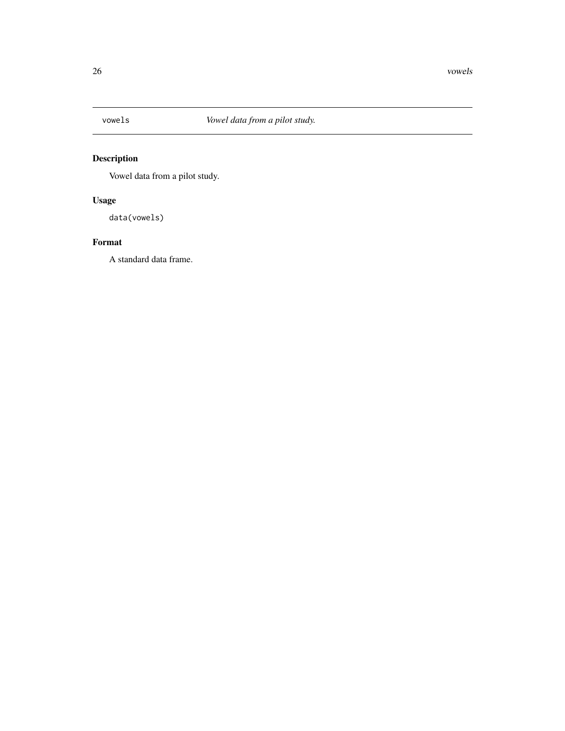<span id="page-25-0"></span>

# Description

Vowel data from a pilot study.

# Usage

data(vowels)

# Format

A standard data frame.